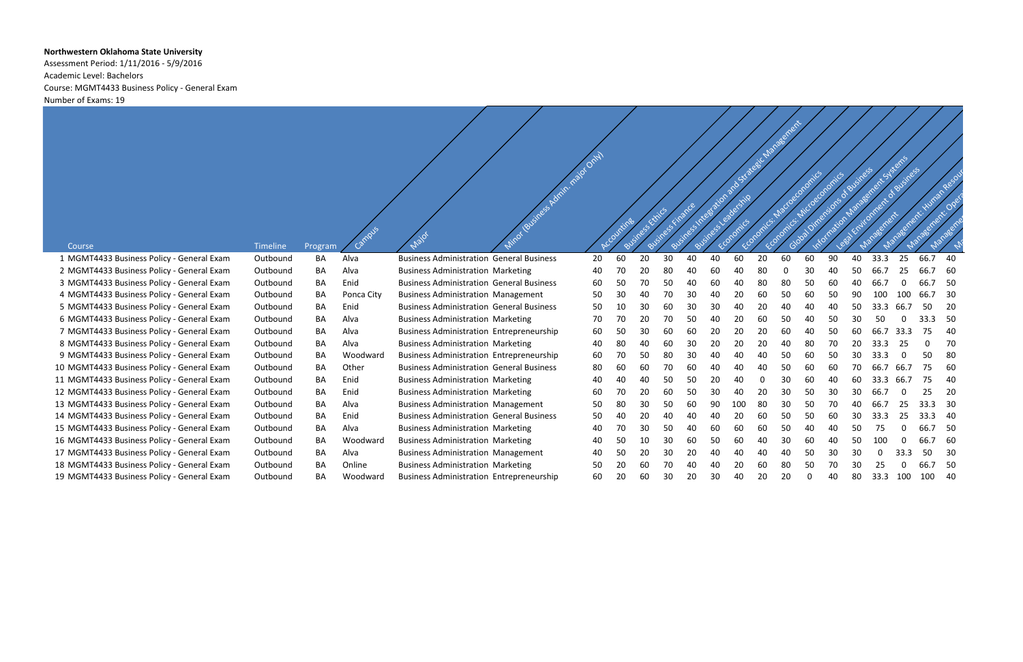## **Northwestern Oklahoma State University**

Assessment Period: 1/11/2016 - 5/9/2016 Academic Level: Bachelors Course: MGMT4433 Business Policy - General Exam Number of Exams: 19

| Antestation and Strategic Management                                                                                                                                           |  |
|--------------------------------------------------------------------------------------------------------------------------------------------------------------------------------|--|
|                                                                                                                                                                                |  |
|                                                                                                                                                                                |  |
|                                                                                                                                                                                |  |
|                                                                                                                                                                                |  |
| information Management Systems<br>ess triumpart of Suginess<br>Good Directions of Susiness<br>Management: Human Resolut<br>Fcoronics, Madographics<br>Economic: Microscoromics |  |
|                                                                                                                                                                                |  |
|                                                                                                                                                                                |  |
|                                                                                                                                                                                |  |
|                                                                                                                                                                                |  |

|                                            |          |         | Campus     |                                                 | Minor (Business Admin. major Only) |    |    | Business Kiriks |    | Finance |    | Schreefstien and strategic Manage |    |    |    | Information Management St Starts<br>Global Vinensions of Business<br>Economics Microeconomics |    |       | J. draughess | Management - Human and |     |
|--------------------------------------------|----------|---------|------------|-------------------------------------------------|------------------------------------|----|----|-----------------|----|---------|----|-----------------------------------|----|----|----|-----------------------------------------------------------------------------------------------|----|-------|--------------|------------------------|-----|
| Course                                     | Timeline | Program |            | Major                                           |                                    |    |    |                 |    |         |    |                                   |    |    |    |                                                                                               |    |       |              |                        |     |
| 1 MGMT4433 Business Policy - General Exam  | Outbound | ΒA      | Alva       | <b>Business Administration General Business</b> |                                    | 20 | 60 | 20              | 30 | 40      | 40 | 60                                | 20 | 60 | 60 | 90                                                                                            | 40 | 33.3  | 25           | 66.7                   | 40  |
| 2 MGMT4433 Business Policy - General Exam  | Outbound | BA      | Alva       | <b>Business Administration Marketing</b>        |                                    | 40 | 70 | 20              | 80 | 40      | 60 | 40                                | 80 |    | 30 | 40                                                                                            | 50 | 66.7  |              |                        | -60 |
| 3 MGMT4433 Business Policy - General Exam  | Outbound | ВA      | Enid       | <b>Business Administration General Business</b> |                                    | 60 | 50 | 70              | 50 | 40      | 60 | 40                                | 80 | 80 | 50 | 6C                                                                                            |    | 66.   |              |                        | 50  |
| 4 MGMT4433 Business Policy - General Exam  | Outbound | ΒA      | Ponca City | <b>Business Administration Management</b>       |                                    | 50 | 30 | 40              | 70 | 30      | 40 | 20                                | 60 | 50 | 60 |                                                                                               | ٩r |       |              |                        | -30 |
| 5 MGMT4433 Business Policy - General Exam  | Outbound | BA      | Enid       | <b>Business Administration General Business</b> |                                    | 50 | 10 | 30              | 60 | 30      | 30 | 40                                | 20 | 40 | 40 |                                                                                               | 50 |       |              |                        | 20  |
| 6 MGMT4433 Business Policy - General Exam  | Outbound | BА      | Alva       | <b>Business Administration Marketing</b>        |                                    | 70 | 70 | 20              | 70 | 50      | 40 | 20                                | 60 | 50 | 40 | .50                                                                                           |    |       |              |                        | -50 |
| 7 MGMT4433 Business Policy - General Exam  | Outbound | BΑ      | Alva       | <b>Business Administration Entrepreneurship</b> |                                    | 60 | 50 | 30              | 60 | 60      | 20 | 20                                | 20 | 60 | 40 | 50                                                                                            | 60 | 66.   | 33.3         | 75                     | 40  |
| 8 MGMT4433 Business Policy - General Exam  | Outbound | ΒA      | Alva       | <b>Business Administration Marketing</b>        |                                    | 40 | 80 | 40              | 60 | 30      | 20 | 20                                | 20 | 40 | 80 |                                                                                               |    | 33.3  |              | $\Omega$               | 70  |
| 9 MGMT4433 Business Policy - General Exam  | Outbound | BΑ      | Woodward   | <b>Business Administration Entrepreneurship</b> |                                    | 60 | 70 | 50              | 80 | 30      |    |                                   | 40 | 50 | 60 | 50                                                                                            |    |       |              | 50                     | 80  |
| 10 MGMT4433 Business Policy - General Exam | Outbound | BA      | Other      | <b>Business Administration General Business</b> |                                    | 80 | 60 | 60              | 70 | 60      | 40 |                                   | 40 | 50 | 60 | 60                                                                                            |    | 66.7  |              | 75                     | 60  |
| 11 MGMT4433 Business Policy - General Exam | Outbound | ВA      | Enid       | <b>Business Administration Marketing</b>        |                                    | 40 | 40 | 40              | 50 | 50      | 20 | 40                                | 0  | 30 | 60 | 40                                                                                            | 60 | 33.3  | 66.          | 75                     | 40  |
| 12 MGMT4433 Business Policy - General Exam | Outbound | ΒA      | Enid       | <b>Business Administration Marketing</b>        |                                    | 60 | 70 | 20              | 60 | 50      | 30 | 40                                | 20 | 30 | 50 | 3C                                                                                            |    |       |              | 25                     | 20  |
| 13 MGMT4433 Business Policy - General Exam | Outbound | ΒA      | Alva       | <b>Business Administration Management</b>       |                                    | 50 | 80 | 30              | 50 | 60      | 90 | 100                               | 80 | 30 | 50 |                                                                                               |    | -66.7 |              | .3                     | 30  |
| 14 MGMT4433 Business Policy - General Exam | Outbound | BΑ      | Enid       | <b>Business Administration General Business</b> |                                    | 50 | 40 | 20              | 40 | 40      |    | 20                                | 60 | 50 | 50 | 60                                                                                            | 30 |       |              | .3                     | -40 |
| 15 MGMT4433 Business Policy - General Exam | Outbound | ΒA      | Alva       | <b>Business Administration Marketing</b>        |                                    | 40 | 70 | 30              | 50 | 40      | 60 | 60                                | 60 | 50 | 40 | 40                                                                                            | 50 |       |              |                        | -50 |
| 16 MGMT4433 Business Policy - General Exam | Outbound | ВA      | Woodward   | <b>Business Administration Marketing</b>        |                                    | 40 | 50 | 10              | 30 | 60      | 50 | 60                                | 40 | 30 | 60 |                                                                                               | 50 | 100   |              | 66.7                   | -60 |
| 17 MGMT4433 Business Policy - General Exam | Outbound | BΑ      | Alva       | <b>Business Administration Management</b>       |                                    | 40 | 50 | 20              | 30 | 20      | 40 |                                   | 40 | 40 | 50 | 30                                                                                            |    |       |              | 50.                    | -30 |
| 18 MGMT4433 Business Policy - General Exam | Outbound | ВA      | Online     | <b>Business Administration Marketing</b>        |                                    | 50 | 20 | 60              | 70 | 40      |    | 20                                | 60 | 80 | 50 |                                                                                               |    |       |              |                        | 50  |
| 19 MGMT4433 Business Policy - General Exam | Outbound | ΒA      | Woodward   | <b>Business Administration Entrepreneurship</b> |                                    | 60 | 20 | 60              | 30 | 20      | 30 |                                   | 20 | 20 |    |                                                                                               | 80 | 33.3  |              | 100                    | -40 |
|                                            |          |         |            |                                                 |                                    |    |    |                 |    |         |    |                                   |    |    |    |                                                                                               |    |       |              |                        |     |